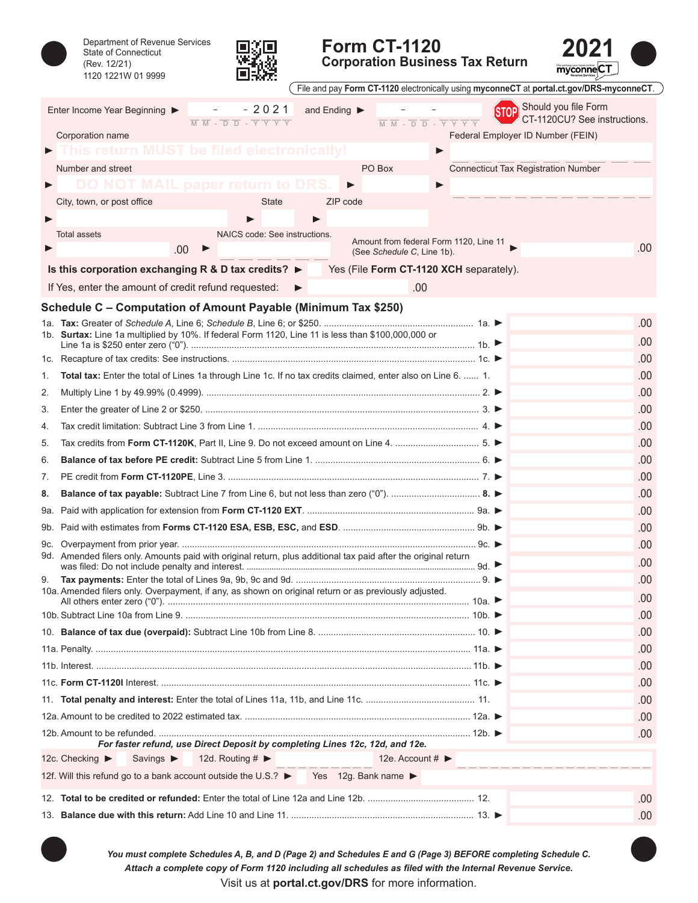Department of Revenue Services



## **Form CT-1120**

**2021**

|    | Department of Revenue Services<br><b>State of Connecticut</b><br>(Rev. 12/21)<br>1120 1221W 01 9999                 |                                                                                                                                        |              | <b>Form CT-1120</b><br><b>Corporation Business Tax Return</b>                                                               | myconneCT                                            |
|----|---------------------------------------------------------------------------------------------------------------------|----------------------------------------------------------------------------------------------------------------------------------------|--------------|-----------------------------------------------------------------------------------------------------------------------------|------------------------------------------------------|
|    |                                                                                                                     |                                                                                                                                        |              | File and pay Form CT-1120 electronically using myconneCT at portal.ct.gov/DRS-myconneCT.                                    |                                                      |
|    | Enter Income Year Beginning ▶                                                                                       | $-2021$<br>$\overline{M}$ $\overline{M}$ - $\overline{D}$ $\overline{D}$ - $\overline{Y}$ $\overline{Y}$ $\overline{Y}$ $\overline{Y}$ | and Ending ▶ | $\overline{M}$ $\overline{M}$ - $\overline{D}$ $\overline{D}$ - $\overline{Y}$ $\overline{Y}$ $\overline{Y}$ $\overline{Y}$ | Should you file Form<br>CT-1120CU? See instructions. |
|    | Corporation name                                                                                                    |                                                                                                                                        |              | Federal Employer ID Number (FEIN)                                                                                           |                                                      |
|    |                                                                                                                     | <b>MUST be filed electronically!</b>                                                                                                   |              | ▶                                                                                                                           |                                                      |
|    | Number and street                                                                                                   |                                                                                                                                        |              | PO Box<br><b>Connecticut Tax Registration Number</b>                                                                        |                                                      |
|    |                                                                                                                     | paper return                                                                                                                           | ▶            | ▶                                                                                                                           |                                                      |
|    | City, town, or post office                                                                                          | <b>State</b>                                                                                                                           | ZIP code     |                                                                                                                             |                                                      |
|    |                                                                                                                     |                                                                                                                                        |              |                                                                                                                             |                                                      |
|    | <b>Total assets</b>                                                                                                 | NAICS code: See instructions.                                                                                                          |              | Amount from federal Form 1120, Line 11                                                                                      | .00                                                  |
|    | .00                                                                                                                 |                                                                                                                                        |              | (See Schedule C, Line 1b).                                                                                                  |                                                      |
|    | Is this corporation exchanging R & D tax credits? $\blacktriangleright$                                             |                                                                                                                                        |              | Yes (File Form CT-1120 XCH separately).                                                                                     |                                                      |
|    | If Yes, enter the amount of credit refund requested:                                                                |                                                                                                                                        |              | .00                                                                                                                         |                                                      |
|    | Schedule C – Computation of Amount Payable (Minimum Tax \$250)                                                      |                                                                                                                                        |              |                                                                                                                             |                                                      |
|    | 1b. Surtax: Line 1a multiplied by 10%. If federal Form 1120, Line 11 is less than \$100,000,000 or                  |                                                                                                                                        |              |                                                                                                                             | .00.                                                 |
|    |                                                                                                                     |                                                                                                                                        |              |                                                                                                                             | .00                                                  |
|    |                                                                                                                     |                                                                                                                                        |              |                                                                                                                             | .00                                                  |
| 1. | <b>Total tax:</b> Enter the total of Lines 1a through Line 1c. If no tax credits claimed, enter also on Line 6.  1. |                                                                                                                                        |              |                                                                                                                             | .00                                                  |
| 2. |                                                                                                                     |                                                                                                                                        |              |                                                                                                                             | .00                                                  |
| 3. |                                                                                                                     |                                                                                                                                        |              |                                                                                                                             | .00                                                  |
| 4. |                                                                                                                     |                                                                                                                                        |              |                                                                                                                             | .00                                                  |
| 5. |                                                                                                                     |                                                                                                                                        |              |                                                                                                                             | .00                                                  |
| 6. |                                                                                                                     |                                                                                                                                        |              |                                                                                                                             | .00                                                  |
| 7. |                                                                                                                     |                                                                                                                                        |              |                                                                                                                             | .00                                                  |
| 8. |                                                                                                                     |                                                                                                                                        |              |                                                                                                                             | .00                                                  |
|    |                                                                                                                     |                                                                                                                                        |              |                                                                                                                             | .00                                                  |
|    |                                                                                                                     |                                                                                                                                        |              |                                                                                                                             | .00                                                  |
|    |                                                                                                                     |                                                                                                                                        |              |                                                                                                                             | .00                                                  |
|    | 9d. Amended filers only. Amounts paid with original return, plus additional tax paid after the original return      |                                                                                                                                        |              |                                                                                                                             | .00                                                  |
|    |                                                                                                                     |                                                                                                                                        |              |                                                                                                                             | .00                                                  |
|    | 10a. Amended filers only. Overpayment, if any, as shown on original return or as previously adjusted.               |                                                                                                                                        |              |                                                                                                                             | .00                                                  |
|    |                                                                                                                     |                                                                                                                                        |              |                                                                                                                             | .00                                                  |
|    |                                                                                                                     |                                                                                                                                        |              |                                                                                                                             | .00                                                  |
|    |                                                                                                                     |                                                                                                                                        |              |                                                                                                                             | .00                                                  |
|    |                                                                                                                     |                                                                                                                                        |              |                                                                                                                             | .00                                                  |
|    |                                                                                                                     |                                                                                                                                        |              |                                                                                                                             | .00                                                  |
|    |                                                                                                                     |                                                                                                                                        |              |                                                                                                                             | .00                                                  |
|    |                                                                                                                     |                                                                                                                                        |              |                                                                                                                             | .00                                                  |
|    |                                                                                                                     |                                                                                                                                        |              |                                                                                                                             | .00                                                  |
|    |                                                                                                                     | For faster refund, use Direct Deposit by completing Lines 12c, 12d, and 12e.                                                           |              |                                                                                                                             |                                                      |
|    | 12c. Checking $\blacktriangleright$<br>Savings $\blacktriangleright$                                                | 12d. Routing # $\blacktriangleright$                                                                                                   |              | 12e. Account $\sharp$                                                                                                       |                                                      |
|    | 12f. Will this refund go to a bank account outside the U.S.? ▶ Yes 12g. Bank name ▶                                 |                                                                                                                                        |              |                                                                                                                             |                                                      |
|    |                                                                                                                     |                                                                                                                                        |              |                                                                                                                             | .00                                                  |
|    |                                                                                                                     |                                                                                                                                        |              |                                                                                                                             | .00                                                  |
|    |                                                                                                                     |                                                                                                                                        |              |                                                                                                                             |                                                      |

*Attach a complete copy of Form 1120 including all schedules as filed with the Internal Revenue Service. You must complete Schedules A, B, and D (Page 2) and Schedules E and G (Page 3) BEFORE completing Schedule C.*

Visit us at **[portal.ct.gov/DRS](https://portal.ct.gov/DRS)** for more information.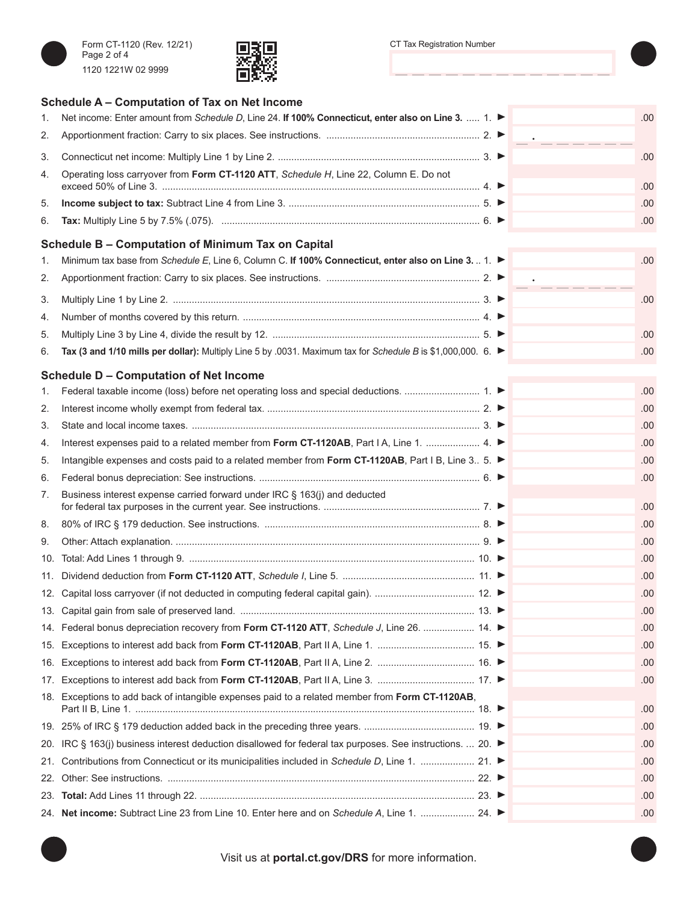

**Schedule A – Computation of Tax on Net Income**



| 1.  | Net income: Enter amount from Schedule D, Line 24. If 100% Connecticut, enter also on Line 3.  1. ►          |  | .00. |
|-----|--------------------------------------------------------------------------------------------------------------|--|------|
| 2.  |                                                                                                              |  |      |
| 3.  |                                                                                                              |  | .00  |
| 4.  | Operating loss carryover from Form CT-1120 ATT, Schedule H, Line 22, Column E. Do not                        |  | .00  |
| 5.  |                                                                                                              |  | .00  |
| 6.  |                                                                                                              |  | .00  |
|     | Schedule B – Computation of Minimum Tax on Capital                                                           |  |      |
| 1.  | Minimum tax base from Schedule E, Line 6, Column C. If 100% Connecticut, enter also on Line 3.  1. ►         |  | .00  |
| 2.  |                                                                                                              |  |      |
| 3.  |                                                                                                              |  | .00  |
| 4.  |                                                                                                              |  |      |
| 5.  |                                                                                                              |  | .00  |
| 6.  | Tax (3 and 1/10 mills per dollar): Multiply Line 5 by .0031. Maximum tax for Schedule B is \$1,000,000. 6. ► |  | .00  |
|     | <b>Schedule D - Computation of Net Income</b>                                                                |  |      |
| 1.  |                                                                                                              |  | .00  |
| 2.  |                                                                                                              |  | .00  |
| 3.  |                                                                                                              |  | .00  |
| 4.  | Interest expenses paid to a related member from Form CT-1120AB, Part I A, Line 1.  4. ▶                      |  | .00  |
| 5.  | Intangible expenses and costs paid to a related member from Form CT-1120AB, Part I B, Line 3 5. ▶            |  | .00  |
| 6.  |                                                                                                              |  | .00  |
| 7.  | Business interest expense carried forward under IRC § 163(j) and deducted                                    |  |      |
|     |                                                                                                              |  | .00  |
| 8.  |                                                                                                              |  | .00  |
| 9.  |                                                                                                              |  | .00  |
| 10. |                                                                                                              |  | .00  |
| 11. |                                                                                                              |  | .00  |
| 12. |                                                                                                              |  | .00  |
|     |                                                                                                              |  | .00  |
|     | 14. Federal bonus depreciation recovery from Form CT-1120 ATT, Schedule J, Line 26.  14.                     |  | .00  |
| 15. |                                                                                                              |  | .00  |
| 16. |                                                                                                              |  | .00  |
| 17. |                                                                                                              |  | .00  |
|     | 18. Exceptions to add back of intangible expenses paid to a related member from Form CT-1120AB,              |  | .00  |
|     |                                                                                                              |  | .00  |
| 20. | IRC § 163(j) business interest deduction disallowed for federal tax purposes. See instructions.  20. ►       |  | .00  |
| 21. | Contributions from Connecticut or its municipalities included in Schedule D, Line 1.  21. ▶                  |  | .00  |
| 22. |                                                                                                              |  | .00  |
| 23. |                                                                                                              |  | .00  |
|     | 24. Net income: Subtract Line 23 from Line 10. Enter here and on Schedule A, Line 1.  24.                    |  | .00. |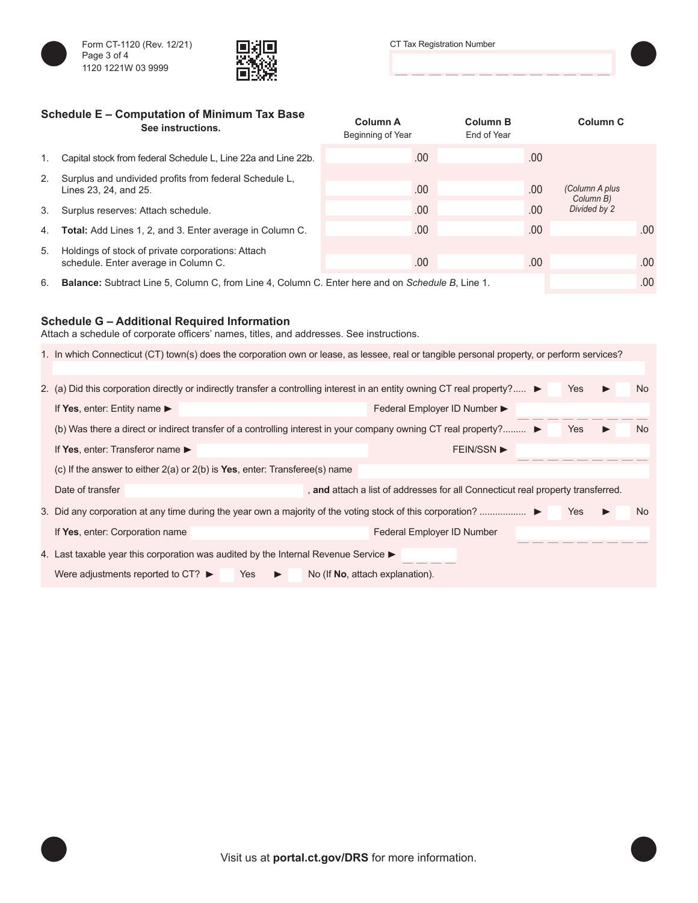



| Schedule E - Computation of Minimum Tax Base<br>See instructions. |                                                                                           | <b>Column A</b><br>Beginning of Year | <b>Column B</b><br>End of Year | Column <sub>C</sub>       |        |
|-------------------------------------------------------------------|-------------------------------------------------------------------------------------------|--------------------------------------|--------------------------------|---------------------------|--------|
| 1.                                                                | Capital stock from federal Schedule L, Line 22a and Line 22b.                             | .00.                                 | .00                            |                           |        |
| 2.                                                                | Surplus and undivided profits from federal Schedule L,<br>Lines 23, 24, and 25.           | .00.                                 | .00                            | (Column A plus            |        |
|                                                                   | 3. Surplus reserves: Attach schedule.                                                     | .00.                                 | .00.                           | Column B)<br>Divided by 2 |        |
|                                                                   | 4. <b>Total:</b> Add Lines 1, 2, and 3. Enter average in Column C.                        | .00.                                 | .00                            |                           | .00    |
| 5.                                                                | Holdings of stock of private corporations: Attach<br>schedule. Enter average in Column C. | .00.                                 | .00                            |                           | .00    |
|                                                                   |                                                                                           |                                      |                                |                           | $\sim$ |

6. **Balance:** Subtract Line 5, Column C, from Line 4, Column C. Enter here and on *Schedule B*, Line 1. .00

## **Schedule G – Additional Required Information**

Attach a schedule of corporate officers' names, titles, and addresses. See instructions.

|                                                                                                          | 1. In which Connecticut (CT) town(s) does the corporation own or lease, as lessee, real or tangible personal property, or perform services? |                              |     |  |  |  |  |  |  |
|----------------------------------------------------------------------------------------------------------|---------------------------------------------------------------------------------------------------------------------------------------------|------------------------------|-----|--|--|--|--|--|--|
|                                                                                                          | 2. (a) Did this corporation directly or indirectly transfer a controlling interest in an entity owning CT real property?<br>Yes             |                              |     |  |  |  |  |  |  |
|                                                                                                          | If Yes, enter: Entity name $\blacktriangleright$                                                                                            | Federal Employer ID Number ▶ |     |  |  |  |  |  |  |
|                                                                                                          | (b) Was there a direct or indirect transfer of a controlling interest in your company owning CT real property?<br><b>Yes</b>                |                              |     |  |  |  |  |  |  |
|                                                                                                          | If Yes, enter: Transferor name $\blacktriangleright$                                                                                        | <b>FEIN/SSN ▶</b>            |     |  |  |  |  |  |  |
|                                                                                                          | (c) If the answer to either $2(a)$ or $2(b)$ is Yes, enter: Transferee(s) name                                                              |                              |     |  |  |  |  |  |  |
|                                                                                                          | Date of transfer<br>, and attach a list of addresses for all Connecticut real property transferred.                                         |                              |     |  |  |  |  |  |  |
|                                                                                                          | 3. Did any corporation at any time during the year own a majority of the voting stock of this corporation?                                  | Yes                          | No. |  |  |  |  |  |  |
|                                                                                                          | If Yes, enter: Corporation name                                                                                                             | Federal Employer ID Number   |     |  |  |  |  |  |  |
|                                                                                                          | 4. Last taxable year this corporation was audited by the Internal Revenue Service $\blacktriangleright$                                     |                              |     |  |  |  |  |  |  |
| Were adjustments reported to CT? $\blacktriangleright$<br>No (If <b>No</b> , attach explanation).<br>Yes |                                                                                                                                             |                              |     |  |  |  |  |  |  |